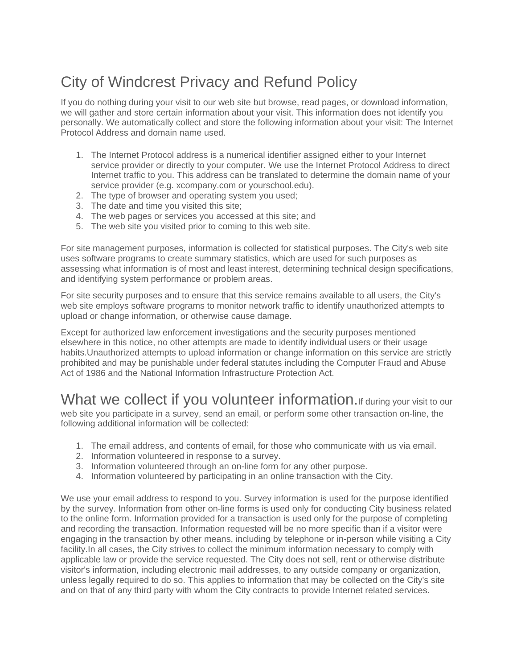## City of Windcrest Privacy and Refund Policy

If you do nothing during your visit to our web site but browse, read pages, or download information, we will gather and store certain information about your visit. This information does not identify you personally. We automatically collect and store the following information about your visit: The Internet Protocol Address and domain name used.

- 1. The Internet Protocol address is a numerical identifier assigned either to your Internet service provider or directly to your computer. We use the Internet Protocol Address to direct Internet traffic to you. This address can be translated to determine the domain name of your service provider (e.g. xcompany.com or yourschool.edu).
- 2. The type of browser and operating system you used;
- 3. The date and time you visited this site;
- 4. The web pages or services you accessed at this site; and
- 5. The web site you visited prior to coming to this web site.

For site management purposes, information is collected for statistical purposes. The City's web site uses software programs to create summary statistics, which are used for such purposes as assessing what information is of most and least interest, determining technical design specifications, and identifying system performance or problem areas.

For site security purposes and to ensure that this service remains available to all users, the City's web site employs software programs to monitor network traffic to identify unauthorized attempts to upload or change information, or otherwise cause damage.

Except for authorized law enforcement investigations and the security purposes mentioned elsewhere in this notice, no other attempts are made to identify individual users or their usage habits.Unauthorized attempts to upload information or change information on this service are strictly prohibited and may be punishable under federal statutes including the Computer Fraud and Abuse Act of 1986 and the National Information Infrastructure Protection Act.

### What we collect if you volunteer information. If during your visit to our

web site you participate in a survey, send an email, or perform some other transaction on-line, the following additional information will be collected:

- 1. The email address, and contents of email, for those who communicate with us via email.
- 2. Information volunteered in response to a survey.
- 3. Information volunteered through an on-line form for any other purpose.
- 4. Information volunteered by participating in an online transaction with the City.

We use your email address to respond to you. Survey information is used for the purpose identified by the survey. Information from other on-line forms is used only for conducting City business related to the online form. Information provided for a transaction is used only for the purpose of completing and recording the transaction. Information requested will be no more specific than if a visitor were engaging in the transaction by other means, including by telephone or in-person while visiting a City facility.In all cases, the City strives to collect the minimum information necessary to comply with applicable law or provide the service requested. The City does not sell, rent or otherwise distribute visitor's information, including electronic mail addresses, to any outside company or organization, unless legally required to do so. This applies to information that may be collected on the City's site and on that of any third party with whom the City contracts to provide Internet related services.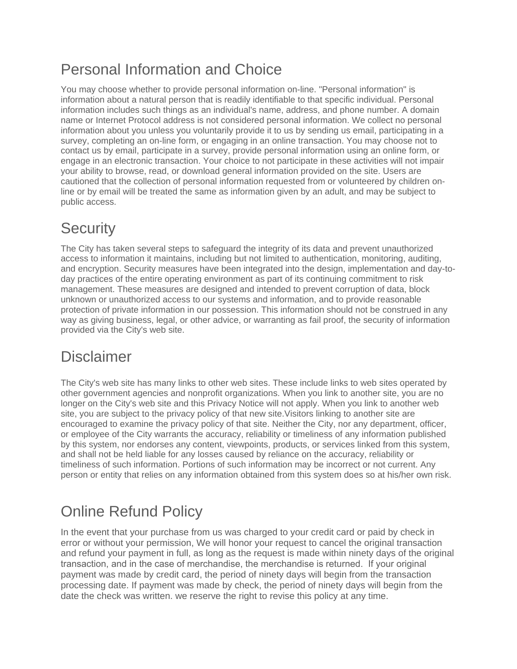# Personal Information and Choice

You may choose whether to provide personal information on-line. "Personal information" is information about a natural person that is readily identifiable to that specific individual. Personal information includes such things as an individual's name, address, and phone number. A domain name or Internet Protocol address is not considered personal information. We collect no personal information about you unless you voluntarily provide it to us by sending us email, participating in a survey, completing an on-line form, or engaging in an online transaction. You may choose not to contact us by email, participate in a survey, provide personal information using an online form, or engage in an electronic transaction. Your choice to not participate in these activities will not impair your ability to browse, read, or download general information provided on the site. Users are cautioned that the collection of personal information requested from or volunteered by children online or by email will be treated the same as information given by an adult, and may be subject to public access.

# **Security**

The City has taken several steps to safeguard the integrity of its data and prevent unauthorized access to information it maintains, including but not limited to authentication, monitoring, auditing, and encryption. Security measures have been integrated into the design, implementation and day-today practices of the entire operating environment as part of its continuing commitment to risk management. These measures are designed and intended to prevent corruption of data, block unknown or unauthorized access to our systems and information, and to provide reasonable protection of private information in our possession. This information should not be construed in any way as giving business, legal, or other advice, or warranting as fail proof, the security of information provided via the City's web site.

#### **Disclaimer**

The City's web site has many links to other web sites. These include links to web sites operated by other government agencies and nonprofit organizations. When you link to another site, you are no longer on the City's web site and this Privacy Notice will not apply. When you link to another web site, you are subject to the privacy policy of that new site.Visitors linking to another site are encouraged to examine the privacy policy of that site. Neither the City, nor any department, officer, or employee of the City warrants the accuracy, reliability or timeliness of any information published by this system, nor endorses any content, viewpoints, products, or services linked from this system, and shall not be held liable for any losses caused by reliance on the accuracy, reliability or timeliness of such information. Portions of such information may be incorrect or not current. Any person or entity that relies on any information obtained from this system does so at his/her own risk.

## Online Refund Policy

In the event that your purchase from us was charged to your credit card or paid by check in error or without your permission, We will honor your request to cancel the original transaction and refund your payment in full, as long as the request is made within ninety days of the original transaction, and in the case of merchandise, the merchandise is returned. If your original payment was made by credit card, the period of ninety days will begin from the transaction processing date. If payment was made by check, the period of ninety days will begin from the date the check was written. we reserve the right to revise this policy at any time.